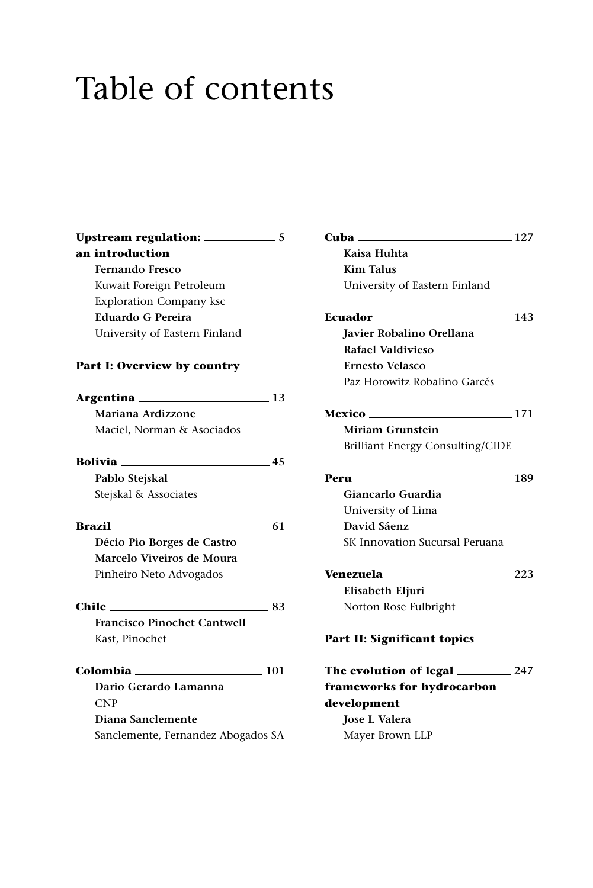## Table of contents

| an introduction                    |      |
|------------------------------------|------|
| Fernando Fresco                    |      |
| Kuwait Foreign Petroleum           |      |
| <b>Exploration Company ksc</b>     |      |
| Eduardo G Pereira                  |      |
| University of Eastern Finland      |      |
| Part I: Overview by country        |      |
|                                    |      |
| Mariana Ardizzone                  |      |
| Maciel, Norman & Asociados         |      |
| <b>Bolivia</b> 45                  |      |
| Pablo Stejskal                     |      |
| Stejskal & Associates              |      |
| Brazil                             | 61   |
| Décio Pio Borges de Castro         |      |
| Marcelo Viveiros de Moura          |      |
| Pinheiro Neto Advogados            |      |
| $Chile \_$                         | - 83 |
| <b>Francisco Pinochet Cantwell</b> |      |
| Kast, Pinochet                     |      |
| $Colombia$ 101                     |      |
| Dario Gerardo Lamanna              |      |
| <b>CNP</b>                         |      |
| Diana Sanclemente                  |      |
| Sanclemente, Fernandez Abogados SA |      |
|                                    |      |

| <b>Cuba</b>                         | $\frac{127}{2}$ |
|-------------------------------------|-----------------|
| Kaisa Huhta                         |                 |
| <b>Kim Talus</b>                    |                 |
| University of Eastern Finland       |                 |
| Ecuador<br>$\sim$ 143               |                 |
| <b>Javier Robalino Orellana</b>     |                 |
| Rafael Valdivieso                   |                 |
| <b>Ernesto Velasco</b>              |                 |
| Paz Horowitz Robalino Garcés        |                 |
| Mexico<br>$\sim$ 171                |                 |
| Miriam Grunstein                    |                 |
| Brilliant Energy Consulting/CIDE    |                 |
| Peru<br>$\sim$ 189                  |                 |
| Giancarlo Guardia                   |                 |
| University of Lima                  |                 |
| David Sáenz                         |                 |
| SK Innovation Sucursal Peruana      |                 |
| <b>Venezuela</b> 223                |                 |
| Elisabeth Eljuri                    |                 |
| Norton Rose Fulbright               |                 |
| Part II: Significant topics         |                 |
| The evolution of legal ________ 247 |                 |
| frameworks for hydrocarbon          |                 |
| development                         |                 |
| <b>Iose L Valera</b>                |                 |
| Mayer Brown LLP                     |                 |